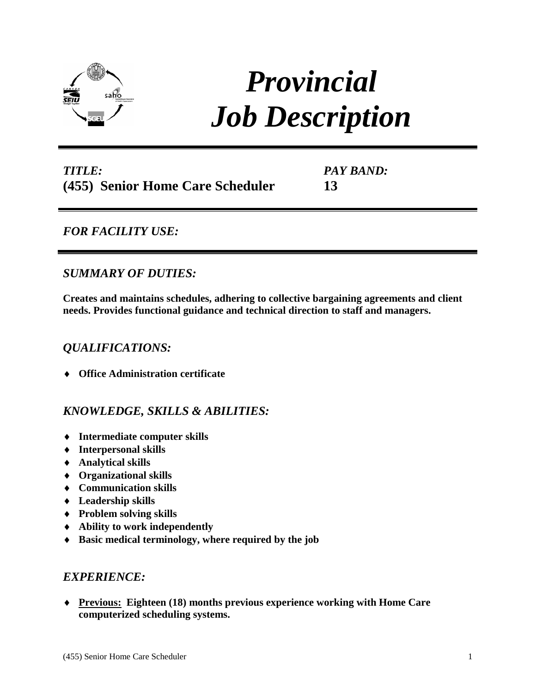

# *Provincial Job Description*

# *TITLE:* **(455) Senior Home Care Scheduler**

*PAY BAND:*

**13**

## *FOR FACILITY USE:*

## *SUMMARY OF DUTIES:*

**Creates and maintains schedules, adhering to collective bargaining agreements and client needs. Provides functional guidance and technical direction to staff and managers.**

## *QUALIFICATIONS:*

♦ **Office Administration certificate** 

## *KNOWLEDGE, SKILLS & ABILITIES:*

- ♦ **Intermediate computer skills**
- ♦ **Interpersonal skills**
- ♦ **Analytical skills**
- ♦ **Organizational skills**
- ♦ **Communication skills**
- ♦ **Leadership skills**
- ♦ **Problem solving skills**
- ♦ **Ability to work independently**
- ♦ **Basic medical terminology, where required by the job**

### *EXPERIENCE:*

♦ **Previous: Eighteen (18) months previous experience working with Home Care computerized scheduling systems.**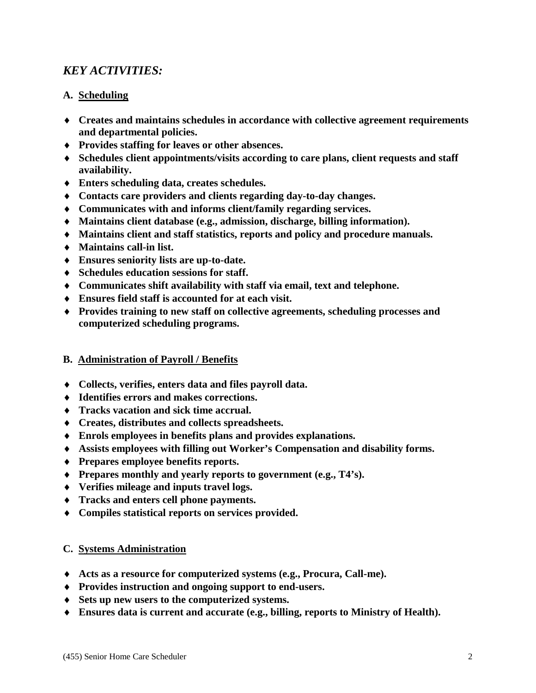## *KEY ACTIVITIES:*

#### **A. Scheduling**

- ♦ **Creates and maintains schedules in accordance with collective agreement requirements and departmental policies.**
- ♦ **Provides staffing for leaves or other absences.**
- ♦ **Schedules client appointments/visits according to care plans, client requests and staff availability.**
- ♦ **Enters scheduling data, creates schedules.**
- ♦ **Contacts care providers and clients regarding day-to-day changes.**
- ♦ **Communicates with and informs client/family regarding services.**
- ♦ **Maintains client database (e.g., admission, discharge, billing information).**
- ♦ **Maintains client and staff statistics, reports and policy and procedure manuals.**
- ♦ **Maintains call-in list.**
- ♦ **Ensures seniority lists are up-to-date.**
- ♦ **Schedules education sessions for staff.**
- ♦ **Communicates shift availability with staff via email, text and telephone.**
- ♦ **Ensures field staff is accounted for at each visit.**
- ♦ **Provides training to new staff on collective agreements, scheduling processes and computerized scheduling programs.**

#### **B. Administration of Payroll / Benefits**

- ♦ **Collects, verifies, enters data and files payroll data.**
- ♦ **Identifies errors and makes corrections.**
- ♦ **Tracks vacation and sick time accrual.**
- ♦ **Creates, distributes and collects spreadsheets.**
- ♦ **Enrols employees in benefits plans and provides explanations.**
- ♦ **Assists employees with filling out Worker's Compensation and disability forms.**
- ♦ **Prepares employee benefits reports.**
- ♦ **Prepares monthly and yearly reports to government (e.g., T4's).**
- ♦ **Verifies mileage and inputs travel logs.**
- ♦ **Tracks and enters cell phone payments.**
- ♦ **Compiles statistical reports on services provided.**

#### **C. Systems Administration**

- ♦ **Acts as a resource for computerized systems (e.g., Procura, Call-me).**
- ♦ **Provides instruction and ongoing support to end-users.**
- ♦ **Sets up new users to the computerized systems.**
- ♦ **Ensures data is current and accurate (e.g., billing, reports to Ministry of Health).**